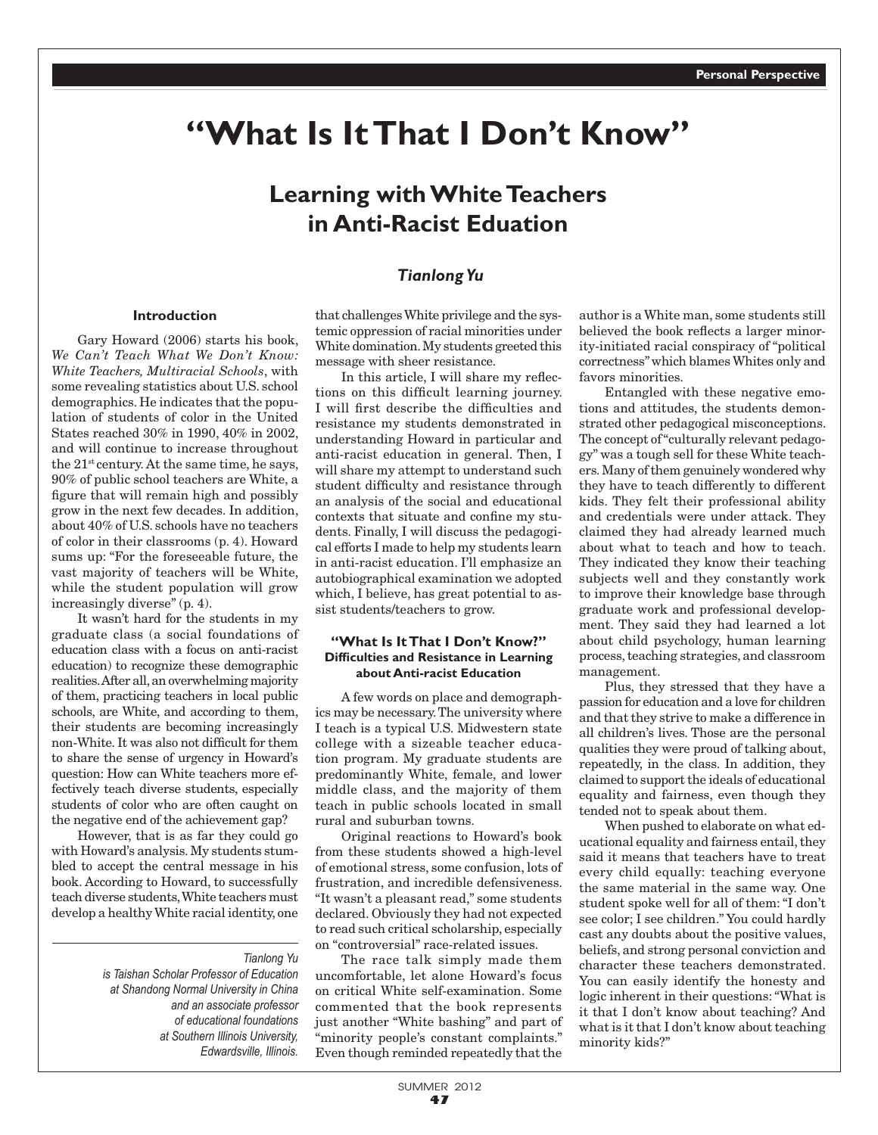# **"What Is It That I Don't Know"**

# **Learning with White Teachers in Anti-Racist Eduation**

# *Tianlong Yu*

# **Introduction**

Gary Howard (2006) starts his book, *We Can't Teach What We Don't Know: White Teachers, Multiracial Schools*, with some revealing statistics about U.S. school demographics. He indicates that the population of students of color in the United States reached 30% in 1990, 40% in 2002, and will continue to increase throughout the 21st century. At the same time, he says, 90% of public school teachers are White, a figure that will remain high and possibly grow in the next few decades. In addition, about 40% of U.S. schools have no teachers of color in their classrooms (p. 4). Howard sums up: "For the foreseeable future, the vast majority of teachers will be White, while the student population will grow increasingly diverse" (p. 4).

It wasn't hard for the students in my graduate class (a social foundations of education class with a focus on anti-racist education) to recognize these demographic realities. After all, an overwhelming majority of them, practicing teachers in local public schools, are White, and according to them, their students are becoming increasingly non-White. It was also not difficult for them to share the sense of urgency in Howard's question: How can White teachers more effectively teach diverse students, especially students of color who are often caught on the negative end of the achievement gap?

However, that is as far they could go with Howard's analysis. My students stumbled to accept the central message in his book. According to Howard, to successfully teach diverse students, White teachers must develop a healthy White racial identity, one

#### *Tianlong Yu*

*is Taishan Scholar Professor of Education at Shandong Normal University in China and an associate professor of educational foundations at Southern Illinois University, Edwardsville, Illinois.*

that challenges White privilege and the systemic oppression of racial minorities under White domination. My students greeted this message with sheer resistance.

In this article, I will share my reflections on this difficult learning journey. I will first describe the difficulties and resistance my students demonstrated in understanding Howard in particular and anti-racist education in general. Then, I will share my attempt to understand such student difficulty and resistance through an analysis of the social and educational contexts that situate and confine my students. Finally, I will discuss the pedagogical efforts I made to help my students learn in anti-racist education. I'll emphasize an autobiographical examination we adopted which, I believe, has great potential to assist students/teachers to grow.

#### **"What Is It That I Don't Know?" Difficulties and Resistance in Learning about Anti-racist Education**

A few words on place and demographics may be necessary. The university where I teach is a typical U.S. Midwestern state college with a sizeable teacher education program. My graduate students are predominantly White, female, and lower middle class, and the majority of them teach in public schools located in small rural and suburban towns.

Original reactions to Howard's book from these students showed a high-level of emotional stress, some confusion, lots of frustration, and incredible defensiveness. "It wasn't a pleasant read," some students declared. Obviously they had not expected to read such critical scholarship, especially on "controversial" race-related issues.

The race talk simply made them uncomfortable, let alone Howard's focus on critical White self-examination. Some commented that the book represents just another "White bashing" and part of "minority people's constant complaints." Even though reminded repeatedly that the

author is a White man, some students still believed the book reflects a larger minority-initiated racial conspiracy of "political correctness" which blames Whites only and favors minorities.

Entangled with these negative emotions and attitudes, the students demonstrated other pedagogical misconceptions. The concept of "culturally relevant pedagogy" was a tough sell for these White teachers. Many of them genuinely wondered why they have to teach differently to different kids. They felt their professional ability and credentials were under attack. They claimed they had already learned much about what to teach and how to teach. They indicated they know their teaching subjects well and they constantly work to improve their knowledge base through graduate work and professional development. They said they had learned a lot about child psychology, human learning process, teaching strategies, and classroom management.

Plus, they stressed that they have a passion for education and a love for children and that they strive to make a difference in all children's lives. Those are the personal qualities they were proud of talking about, repeatedly, in the class. In addition, they claimed to support the ideals of educational equality and fairness, even though they tended not to speak about them.

When pushed to elaborate on what educational equality and fairness entail, they said it means that teachers have to treat every child equally: teaching everyone the same material in the same way. One student spoke well for all of them: "I don't see color; I see children." You could hardly cast any doubts about the positive values, beliefs, and strong personal conviction and character these teachers demonstrated. You can easily identify the honesty and logic inherent in their questions: "What is it that I don't know about teaching? And what is it that I don't know about teaching minority kids?"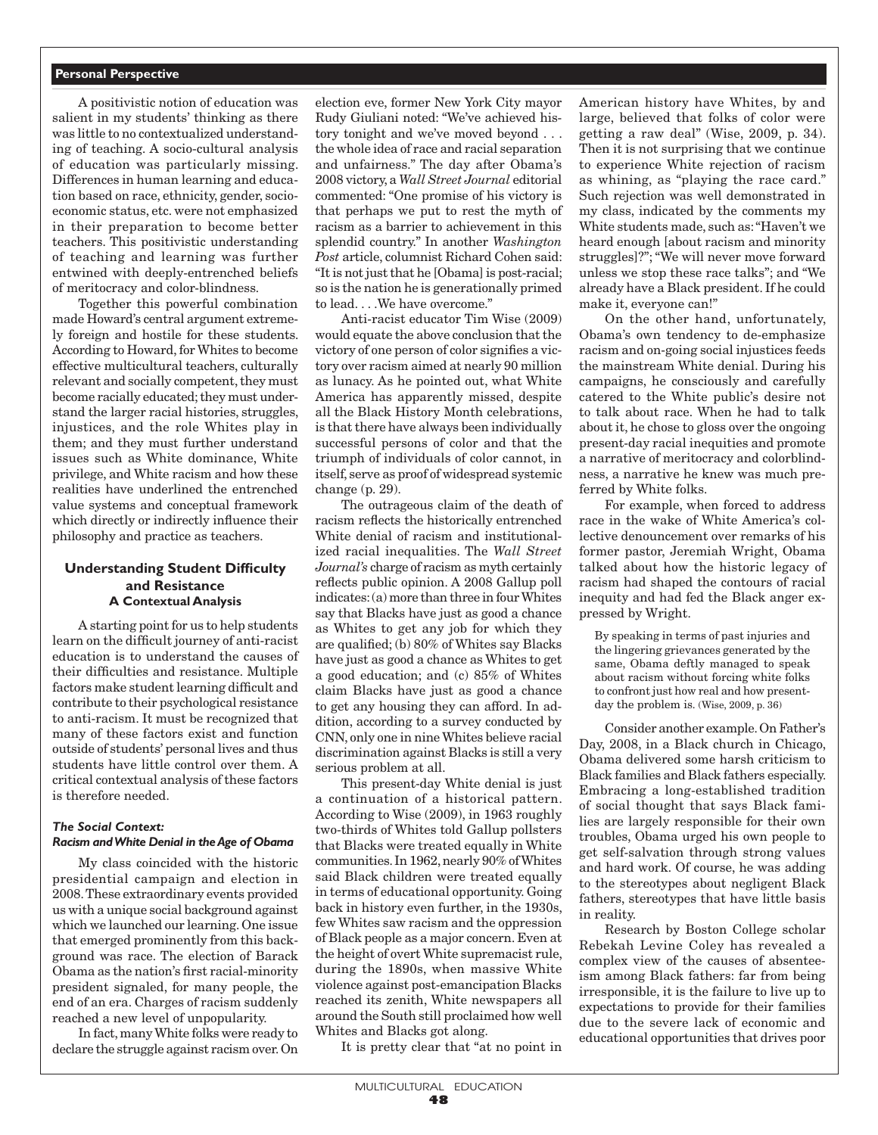#### **Personal Perspective**

A positivistic notion of education was salient in my students' thinking as there was little to no contextualized understanding of teaching. A socio-cultural analysis of education was particularly missing. Differences in human learning and education based on race, ethnicity, gender, socioeconomic status, etc. were not emphasized in their preparation to become better teachers. This positivistic understanding of teaching and learning was further entwined with deeply-entrenched beliefs of meritocracy and color-blindness.

Together this powerful combination made Howard's central argument extremely foreign and hostile for these students. According to Howard, for Whites to become effective multicultural teachers, culturally relevant and socially competent, they must become racially educated; they must understand the larger racial histories, struggles, injustices, and the role Whites play in them; and they must further understand issues such as White dominance, White privilege, and White racism and how these realities have underlined the entrenched value systems and conceptual framework which directly or indirectly influence their philosophy and practice as teachers.

# **Understanding Student Difficulty and Resistance A Contextual Analysis**

A starting point for us to help students learn on the difficult journey of anti-racist education is to understand the causes of their difficulties and resistance. Multiple factors make student learning difficult and contribute to their psychological resistance to anti-racism. It must be recognized that many of these factors exist and function outside of students' personal lives and thus students have little control over them. A critical contextual analysis of these factors is therefore needed.

#### *The Social Context: Racism and White Denial in the Age of Obama*

My class coincided with the historic presidential campaign and election in 2008. These extraordinary events provided us with a unique social background against which we launched our learning. One issue that emerged prominently from this background was race. The election of Barack Obama as the nation's first racial-minority president signaled, for many people, the end of an era. Charges of racism suddenly reached a new level of unpopularity.

In fact, many White folks were ready to declare the struggle against racism over. On election eve, former New York City mayor Rudy Giuliani noted: "We've achieved history tonight and we've moved beyond . . . the whole idea of race and racial separation and unfairness." The day after Obama's 2008 victory, a *Wall Street Journal* editorial commented: "One promise of his victory is that perhaps we put to rest the myth of racism as a barrier to achievement in this splendid country." In another *Washington Post* article, columnist Richard Cohen said: "It is not just that he [Obama] is post-racial; so is the nation he is generationally primed to lead. . . .We have overcome."

Anti-racist educator Tim Wise (2009) would equate the above conclusion that the victory of one person of color signifies a victory over racism aimed at nearly 90 million as lunacy. As he pointed out, what White America has apparently missed, despite all the Black History Month celebrations, is that there have always been individually successful persons of color and that the triumph of individuals of color cannot, in itself, serve as proof of widespread systemic change (p. 29).

The outrageous claim of the death of racism reflects the historically entrenched White denial of racism and institutionalized racial inequalities. The *Wall Street Journal's* charge of racism as myth certainly reflects public opinion. A 2008 Gallup poll indicates: (a) more than three in four Whites say that Blacks have just as good a chance as Whites to get any job for which they are qualified; (b) 80% of Whites say Blacks have just as good a chance as Whites to get a good education; and (c) 85% of Whites claim Blacks have just as good a chance to get any housing they can afford. In addition, according to a survey conducted by CNN, only one in nine Whites believe racial discrimination against Blacks is still a very serious problem at all.

This present-day White denial is just a continuation of a historical pattern. According to Wise (2009), in 1963 roughly two-thirds of Whites told Gallup pollsters that Blacks were treated equally in White communities. In 1962, nearly 90% of Whites said Black children were treated equally in terms of educational opportunity. Going back in history even further, in the 1930s, few Whites saw racism and the oppression of Black people as a major concern. Even at the height of overt White supremacist rule, during the 1890s, when massive White violence against post-emancipation Blacks reached its zenith, White newspapers all around the South still proclaimed how well Whites and Blacks got along.

It is pretty clear that "at no point in

American history have Whites, by and large, believed that folks of color were getting a raw deal" (Wise, 2009, p. 34). Then it is not surprising that we continue to experience White rejection of racism as whining, as "playing the race card." Such rejection was well demonstrated in my class, indicated by the comments my White students made, such as: "Haven't we heard enough [about racism and minority struggles]?"; "We will never move forward unless we stop these race talks"; and "We already have a Black president. If he could make it, everyone can!"

On the other hand, unfortunately, Obama's own tendency to de-emphasize racism and on-going social injustices feeds the mainstream White denial. During his campaigns, he consciously and carefully catered to the White public's desire not to talk about race. When he had to talk about it, he chose to gloss over the ongoing present-day racial inequities and promote a narrative of meritocracy and colorblindness, a narrative he knew was much preferred by White folks.

For example, when forced to address race in the wake of White America's collective denouncement over remarks of his former pastor, Jeremiah Wright, Obama talked about how the historic legacy of racism had shaped the contours of racial inequity and had fed the Black anger expressed by Wright.

By speaking in terms of past injuries and the lingering grievances generated by the same, Obama deftly managed to speak about racism without forcing white folks to confront just how real and how presentday the problem is. (Wise, 2009, p. 36)

Consider another example. On Father's Day, 2008, in a Black church in Chicago, Obama delivered some harsh criticism to Black families and Black fathers especially. Embracing a long-established tradition of social thought that says Black families are largely responsible for their own troubles, Obama urged his own people to get self-salvation through strong values and hard work. Of course, he was adding to the stereotypes about negligent Black fathers, stereotypes that have little basis in reality.

Research by Boston College scholar Rebekah Levine Coley has revealed a complex view of the causes of absenteeism among Black fathers: far from being irresponsible, it is the failure to live up to expectations to provide for their families due to the severe lack of economic and educational opportunities that drives poor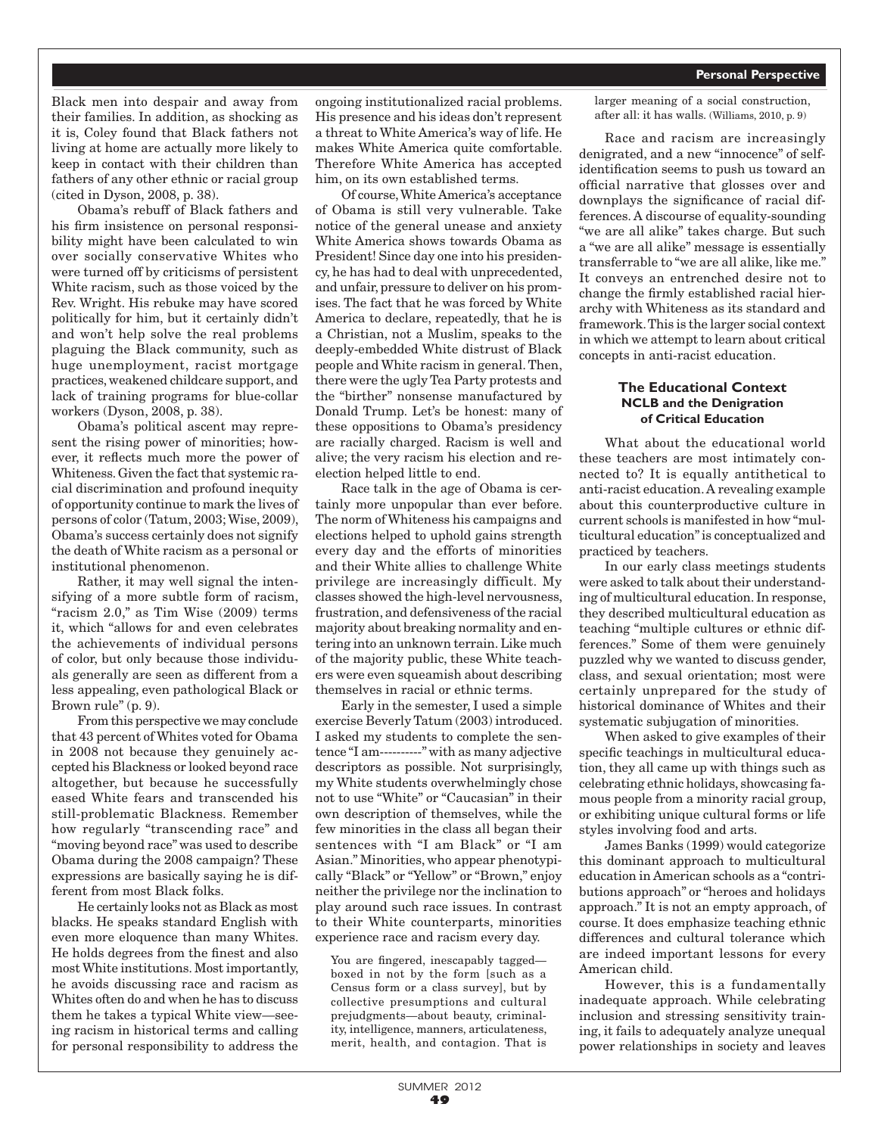Black men into despair and away from their families. In addition, as shocking as it is, Coley found that Black fathers not living at home are actually more likely to keep in contact with their children than fathers of any other ethnic or racial group (cited in Dyson, 2008, p. 38).

Obama's rebuff of Black fathers and his firm insistence on personal responsibility might have been calculated to win over socially conservative Whites who were turned off by criticisms of persistent White racism, such as those voiced by the Rev. Wright. His rebuke may have scored politically for him, but it certainly didn't and won't help solve the real problems plaguing the Black community, such as huge unemployment, racist mortgage practices, weakened childcare support, and lack of training programs for blue-collar workers (Dyson, 2008, p. 38).

Obama's political ascent may represent the rising power of minorities; however, it reflects much more the power of Whiteness. Given the fact that systemic racial discrimination and profound inequity of opportunity continue to mark the lives of persons of color (Tatum, 2003; Wise, 2009), Obama's success certainly does not signify the death of White racism as a personal or institutional phenomenon.

Rather, it may well signal the intensifying of a more subtle form of racism, "racism 2.0," as Tim Wise (2009) terms it, which "allows for and even celebrates the achievements of individual persons of color, but only because those individuals generally are seen as different from a less appealing, even pathological Black or Brown rule" (p. 9).

From this perspective we may conclude that 43 percent of Whites voted for Obama in 2008 not because they genuinely accepted his Blackness or looked beyond race altogether, but because he successfully eased White fears and transcended his still-problematic Blackness. Remember how regularly "transcending race" and "moving beyond race" was used to describe Obama during the 2008 campaign? These expressions are basically saying he is different from most Black folks.

He certainly looks not as Black as most blacks. He speaks standard English with even more eloquence than many Whites. He holds degrees from the finest and also most White institutions. Most importantly, he avoids discussing race and racism as Whites often do and when he has to discuss them he takes a typical White view—seeing racism in historical terms and calling for personal responsibility to address the

ongoing institutionalized racial problems. His presence and his ideas don't represent a threat to White America's way of life. He makes White America quite comfortable. Therefore White America has accepted him, on its own established terms.

Of course, White America's acceptance of Obama is still very vulnerable. Take notice of the general unease and anxiety White America shows towards Obama as President! Since day one into his presidency, he has had to deal with unprecedented, and unfair, pressure to deliver on his promises. The fact that he was forced by White America to declare, repeatedly, that he is a Christian, not a Muslim, speaks to the deeply-embedded White distrust of Black people and White racism in general. Then, there were the ugly Tea Party protests and the "birther" nonsense manufactured by Donald Trump. Let's be honest: many of these oppositions to Obama's presidency are racially charged. Racism is well and alive; the very racism his election and reelection helped little to end.

Race talk in the age of Obama is certainly more unpopular than ever before. The norm of Whiteness his campaigns and elections helped to uphold gains strength every day and the efforts of minorities and their White allies to challenge White privilege are increasingly difficult. My classes showed the high-level nervousness, frustration, and defensiveness of the racial majority about breaking normality and entering into an unknown terrain. Like much of the majority public, these White teachers were even squeamish about describing themselves in racial or ethnic terms.

Early in the semester, I used a simple exercise Beverly Tatum (2003) introduced. I asked my students to complete the sentence "I am----------" with as many adjective descriptors as possible. Not surprisingly, my White students overwhelmingly chose not to use "White" or "Caucasian" in their own description of themselves, while the few minorities in the class all began their sentences with "I am Black" or "I am Asian." Minorities, who appear phenotypically "Black" or "Yellow" or "Brown," enjoy neither the privilege nor the inclination to play around such race issues. In contrast to their White counterparts, minorities experience race and racism every day.

You are fingered, inescapably tagged boxed in not by the form [such as a Census form or a class survey], but by collective presumptions and cultural prejudgments—about beauty, criminality, intelligence, manners, articulateness, merit, health, and contagion. That is

larger meaning of a social construction, after all: it has walls. (Williams, 2010, p. 9)

Race and racism are increasingly denigrated, and a new "innocence" of selfidentification seems to push us toward an official narrative that glosses over and downplays the significance of racial differences. A discourse of equality-sounding "we are all alike" takes charge. But such a "we are all alike" message is essentially transferrable to "we are all alike, like me." It conveys an entrenched desire not to change the firmly established racial hierarchy with Whiteness as its standard and framework. This is the larger social context in which we attempt to learn about critical concepts in anti-racist education.

## **The Educational Context NCLB and the Denigration of Critical Education**

What about the educational world these teachers are most intimately connected to? It is equally antithetical to anti-racist education. A revealing example about this counterproductive culture in current schools is manifested in how "multicultural education" is conceptualized and practiced by teachers.

In our early class meetings students were asked to talk about their understanding of multicultural education. In response, they described multicultural education as teaching "multiple cultures or ethnic differences." Some of them were genuinely puzzled why we wanted to discuss gender, class, and sexual orientation; most were certainly unprepared for the study of historical dominance of Whites and their systematic subjugation of minorities.

When asked to give examples of their specific teachings in multicultural education, they all came up with things such as celebrating ethnic holidays, showcasing famous people from a minority racial group, or exhibiting unique cultural forms or life styles involving food and arts.

James Banks (1999) would categorize this dominant approach to multicultural education in American schools as a "contributions approach" or "heroes and holidays approach." It is not an empty approach, of course. It does emphasize teaching ethnic differences and cultural tolerance which are indeed important lessons for every American child.

However, this is a fundamentally inadequate approach. While celebrating inclusion and stressing sensitivity training, it fails to adequately analyze unequal power relationships in society and leaves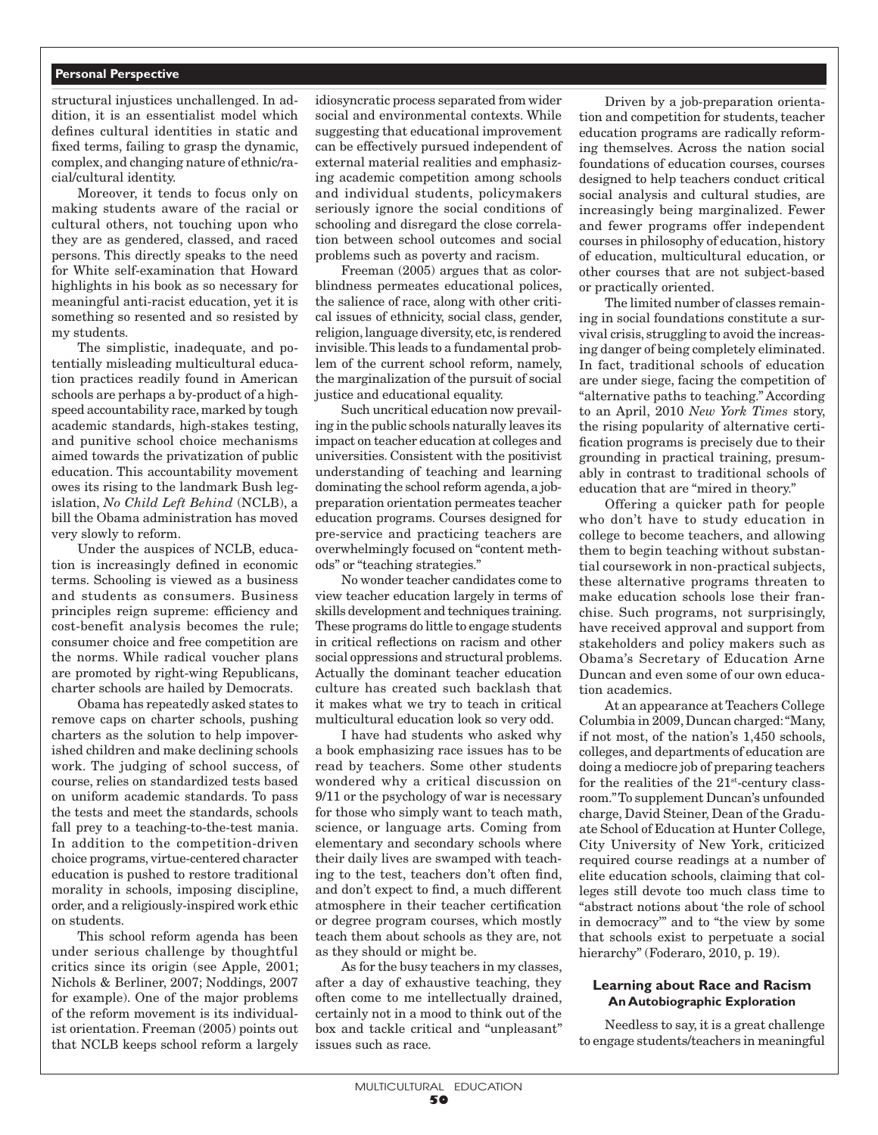#### **Personal Perspective**

structural injustices unchallenged. In addition, it is an essentialist model which defines cultural identities in static and fixed terms, failing to grasp the dynamic, complex, and changing nature of ethnic/racial/cultural identity.

Moreover, it tends to focus only on making students aware of the racial or cultural others, not touching upon who they are as gendered, classed, and raced persons. This directly speaks to the need for White self-examination that Howard highlights in his book as so necessary for meaningful anti-racist education, yet it is something so resented and so resisted by my students.

The simplistic, inadequate, and potentially misleading multicultural education practices readily found in American schools are perhaps a by-product of a highspeed accountability race, marked by tough academic standards, high-stakes testing, and punitive school choice mechanisms aimed towards the privatization of public education. This accountability movement owes its rising to the landmark Bush legislation, *No Child Left Behind* (NCLB), a bill the Obama administration has moved very slowly to reform.

Under the auspices of NCLB, education is increasingly defined in economic terms. Schooling is viewed as a business and students as consumers. Business principles reign supreme: efficiency and cost-benefit analysis becomes the rule; consumer choice and free competition are the norms. While radical voucher plans are promoted by right-wing Republicans, charter schools are hailed by Democrats.

Obama has repeatedly asked states to remove caps on charter schools, pushing charters as the solution to help impoverished children and make declining schools work. The judging of school success, of course, relies on standardized tests based on uniform academic standards. To pass the tests and meet the standards, schools fall prey to a teaching-to-the-test mania. In addition to the competition-driven choice programs, virtue-centered character education is pushed to restore traditional morality in schools, imposing discipline, order, and a religiously-inspired work ethic on students.

This school reform agenda has been under serious challenge by thoughtful critics since its origin (see Apple, 2001; Nichols & Berliner, 2007; Noddings, 2007 for example). One of the major problems of the reform movement is its individualist orientation. Freeman (2005) points out that NCLB keeps school reform a largely

idiosyncratic process separated from wider social and environmental contexts. While suggesting that educational improvement can be effectively pursued independent of external material realities and emphasizing academic competition among schools and individual students, policymakers seriously ignore the social conditions of schooling and disregard the close correlation between school outcomes and social problems such as poverty and racism.

Freeman (2005) argues that as colorblindness permeates educational polices, the salience of race, along with other critical issues of ethnicity, social class, gender, religion, language diversity, etc, is rendered invisible. This leads to a fundamental problem of the current school reform, namely, the marginalization of the pursuit of social justice and educational equality.

Such uncritical education now prevailing in the public schools naturally leaves its impact on teacher education at colleges and universities. Consistent with the positivist understanding of teaching and learning dominating the school reform agenda, a jobpreparation orientation permeates teacher education programs. Courses designed for pre-service and practicing teachers are overwhelmingly focused on "content methods" or "teaching strategies."

No wonder teacher candidates come to view teacher education largely in terms of skills development and techniques training. These programs do little to engage students in critical reflections on racism and other social oppressions and structural problems. Actually the dominant teacher education culture has created such backlash that it makes what we try to teach in critical multicultural education look so very odd.

I have had students who asked why a book emphasizing race issues has to be read by teachers. Some other students wondered why a critical discussion on 9/11 or the psychology of war is necessary for those who simply want to teach math, science, or language arts. Coming from elementary and secondary schools where their daily lives are swamped with teaching to the test, teachers don't often find, and don't expect to find, a much different atmosphere in their teacher certification or degree program courses, which mostly teach them about schools as they are, not as they should or might be.

As for the busy teachers in my classes, after a day of exhaustive teaching, they often come to me intellectually drained, certainly not in a mood to think out of the box and tackle critical and "unpleasant" issues such as race.

Driven by a job-preparation orientation and competition for students, teacher education programs are radically reforming themselves. Across the nation social foundations of education courses, courses designed to help teachers conduct critical social analysis and cultural studies, are increasingly being marginalized. Fewer and fewer programs offer independent courses in philosophy of education, history of education, multicultural education, or other courses that are not subject-based or practically oriented.

The limited number of classes remaining in social foundations constitute a survival crisis, struggling to avoid the increasing danger of being completely eliminated. In fact, traditional schools of education are under siege, facing the competition of "alternative paths to teaching." According to an April, 2010 *New York Times* story, the rising popularity of alternative certification programs is precisely due to their grounding in practical training, presumably in contrast to traditional schools of education that are "mired in theory."

Offering a quicker path for people who don't have to study education in college to become teachers, and allowing them to begin teaching without substantial coursework in non-practical subjects, these alternative programs threaten to make education schools lose their franchise. Such programs, not surprisingly, have received approval and support from stakeholders and policy makers such as Obama's Secretary of Education Arne Duncan and even some of our own education academics.

At an appearance at Teachers College Columbia in 2009, Duncan charged: "Many, if not most, of the nation's 1,450 schools, colleges, and departments of education are doing a mediocre job of preparing teachers for the realities of the  $21<sup>st</sup>$ -century classroom." To supplement Duncan's unfounded charge, David Steiner, Dean of the Graduate School of Education at Hunter College, City University of New York, criticized required course readings at a number of elite education schools, claiming that colleges still devote too much class time to "abstract notions about 'the role of school in democracy'" and to "the view by some that schools exist to perpetuate a social hierarchy" (Foderaro, 2010, p. 19).

## **Learning about Race and Racism An Autobiographic Exploration**

Needless to say, it is a great challenge to engage students/teachers in meaningful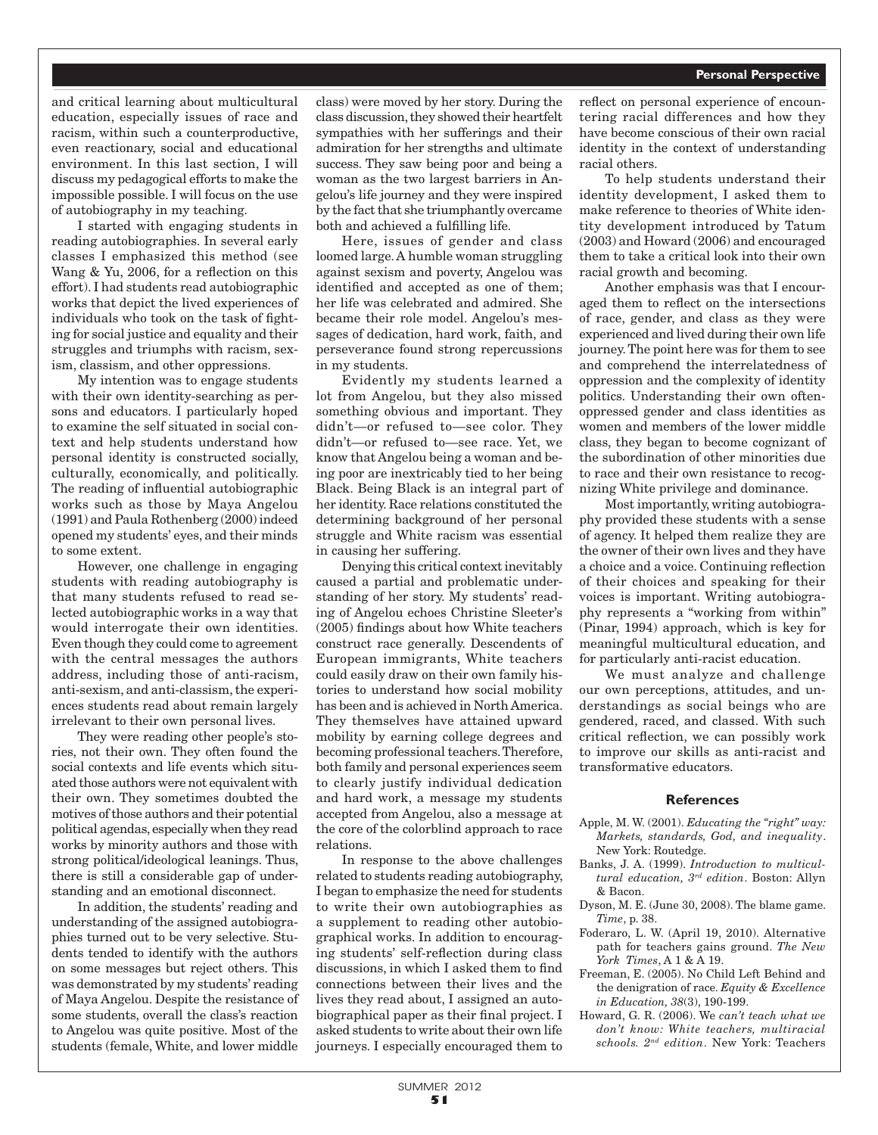and critical learning about multicultural education, especially issues of race and racism, within such a counterproductive, even reactionary, social and educational environment. In this last section, I will discuss my pedagogical efforts to make the impossible possible. I will focus on the use of autobiography in my teaching.

I started with engaging students in reading autobiographies. In several early classes I emphasized this method (see Wang & Yu, 2006, for a reflection on this effort). I had students read autobiographic works that depict the lived experiences of individuals who took on the task of fighting for social justice and equality and their struggles and triumphs with racism, sexism, classism, and other oppressions.

My intention was to engage students with their own identity-searching as persons and educators. I particularly hoped to examine the self situated in social context and help students understand how personal identity is constructed socially, culturally, economically, and politically. The reading of influential autobiographic works such as those by Maya Angelou (1991) and Paula Rothenberg (2000) indeed opened my students' eyes, and their minds to some extent.

However, one challenge in engaging students with reading autobiography is that many students refused to read selected autobiographic works in a way that would interrogate their own identities. Even though they could come to agreement with the central messages the authors address, including those of anti-racism, anti-sexism, and anti-classism, the experiences students read about remain largely irrelevant to their own personal lives.

They were reading other people's stories, not their own. They often found the social contexts and life events which situated those authors were not equivalent with their own. They sometimes doubted the motives of those authors and their potential political agendas, especially when they read works by minority authors and those with strong political/ideological leanings. Thus, there is still a considerable gap of understanding and an emotional disconnect.

In addition, the students' reading and understanding of the assigned autobiographies turned out to be very selective. Students tended to identify with the authors on some messages but reject others. This was demonstrated by my students' reading of Maya Angelou. Despite the resistance of some students, overall the class's reaction to Angelou was quite positive. Most of the students (female, White, and lower middle

class) were moved by her story. During the class discussion, they showed their heartfelt sympathies with her sufferings and their admiration for her strengths and ultimate success. They saw being poor and being a woman as the two largest barriers in Angelou's life journey and they were inspired by the fact that she triumphantly overcame both and achieved a fulfilling life.

Here, issues of gender and class loomed large. A humble woman struggling against sexism and poverty, Angelou was identified and accepted as one of them; her life was celebrated and admired. She became their role model. Angelou's messages of dedication, hard work, faith, and perseverance found strong repercussions in my students.

Evidently my students learned a lot from Angelou, but they also missed something obvious and important. They didn't—or refused to—see color. They didn't—or refused to—see race. Yet, we know that Angelou being a woman and being poor are inextricably tied to her being Black. Being Black is an integral part of her identity. Race relations constituted the determining background of her personal struggle and White racism was essential in causing her suffering.

Denying this critical context inevitably caused a partial and problematic understanding of her story. My students' reading of Angelou echoes Christine Sleeter's (2005) findings about how White teachers construct race generally. Descendents of European immigrants, White teachers could easily draw on their own family histories to understand how social mobility has been and is achieved in North America. They themselves have attained upward mobility by earning college degrees and becoming professional teachers. Therefore, both family and personal experiences seem to clearly justify individual dedication and hard work, a message my students accepted from Angelou, also a message at the core of the colorblind approach to race relations.

In response to the above challenges related to students reading autobiography, I began to emphasize the need for students to write their own autobiographies as a supplement to reading other autobiographical works. In addition to encouraging students' self-reflection during class discussions, in which I asked them to find connections between their lives and the lives they read about, I assigned an autobiographical paper as their final project. I asked students to write about their own life journeys. I especially encouraged them to reflect on personal experience of encountering racial differences and how they have become conscious of their own racial identity in the context of understanding racial others.

To help students understand their identity development, I asked them to make reference to theories of White identity development introduced by Tatum (2003) and Howard (2006) and encouraged them to take a critical look into their own racial growth and becoming.

Another emphasis was that I encouraged them to reflect on the intersections of race, gender, and class as they were experienced and lived during their own life journey. The point here was for them to see and comprehend the interrelatedness of oppression and the complexity of identity politics. Understanding their own oftenoppressed gender and class identities as women and members of the lower middle class, they began to become cognizant of the subordination of other minorities due to race and their own resistance to recognizing White privilege and dominance.

Most importantly, writing autobiography provided these students with a sense of agency. It helped them realize they are the owner of their own lives and they have a choice and a voice. Continuing reflection of their choices and speaking for their voices is important. Writing autobiography represents a "working from within" (Pinar, 1994) approach, which is key for meaningful multicultural education, and for particularly anti-racist education.

We must analyze and challenge our own perceptions, attitudes, and understandings as social beings who are gendered, raced, and classed. With such critical reflection, we can possibly work to improve our skills as anti-racist and transformative educators.

#### **References**

- Apple, M. W. (2001). *Educating the "right" way: Markets, standards, God, and inequality*. New York: Routedge.
- Banks, J. A. (1999). *Introduction to multicultural education, 3rd edition*. Boston: Allyn & Bacon.
- Dyson, M. E. (June 30, 2008). The blame game. *Time*, p. 38.
- Foderaro, L. W. (April 19, 2010). Alternative path for teachers gains ground. *The New York Times*, A 1 & A 19.
- Freeman, E. (2005). No Child Left Behind and the denigration of race. *Equity & Excellence in Education, 38*(3), 190-199.
- Howard, G. R. (2006). We *can't teach what we don't know: White teachers, multiracial schools. 2nd edition*. New York: Teachers